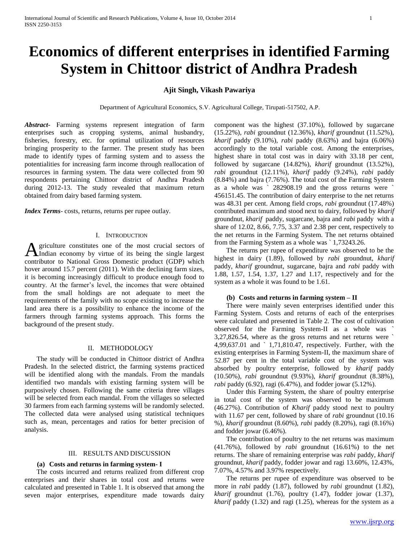# **Economics of different enterprises in identified Farming System in Chittoor district of Andhra Pradesh**

# **Ajit Singh, Vikash Pawariya**

Department of Agricultural Economics, S.V. Agricultural College, Tirupati-517502, A.P.

*Abstract***-** Farming systems represent integration of farm enterprises such as cropping systems, animal husbandry, fisheries, forestry, etc. for optimal utilization of resources bringing prosperity to the farmer. The present study has been made to identify types of farming system and to assess the potentialities for increasing farm income through reallocation of resources in farming system. The data were collected from 90 respondents pertaining Chittoor district of Andhra Pradesh during 2012-13. The study revealed that maximum return obtained from dairy based farming system.

*Index Terms*- costs, returns, returns per rupee outlay.

### I. INTRODUCTION

griculture constitutes one of the most crucial sectors of A griculture constitutes one of the most crucial sectors of Indian economy by virtue of its being the single largest contributor to National Gross Domestic product (GDP) which hover around 15.7 percent (2011). With the declining farm sizes, it is becoming increasingly difficult to produce enough food to country. At the farmer's level, the incomes that were obtained from the small holdings are not adequate to meet the requirements of the family with no scope existing to increase the land area there is a possibility to enhance the income of the farmers through farming systems approach. This forms the background of the present study.

## II. METHODOLOGY

 The study will be conducted in Chittoor district of Andhra Pradesh. In the selected district, the farming systems practiced will be identified along with the mandals. From the mandals identified two mandals with existing farming system will be purposively chosen. Following the same criteria three villages will be selected from each mandal. From the villages so selected 30 farmers from each farming systems will be randomly selected. The collected data were analysed using statistical techniques such as, mean, percentages and ratios for better precision of analysis.

#### III. RESULTS AND DISCUSSION

#### **(a) Costs and returns in farming system- I**

 The costs incurred and returns realized from different crop enterprises and their shares in total cost and returns were calculated and presented in Table 1. It is observed that among the seven major enterprises, expenditure made towards dairy

component was the highest (37.10%), followed by sugarcane (15.22%), *rabi* groundnut (12.36%), *kharif* groundnut (11.52%), *kharif* paddy (9.10%), *rabi* paddy (8.63%) and bajra (6.06%) accordingly to the total variable cost. Among the enterprises, highest share in total cost was in dairy with 33.18 per cent, followed by sugarcane (14.82%), *kharif* groundnut (13.52%), *rabi* groundnut (12.11%), *kharif* paddy (9.24%), *rabi* paddy (8.84%) and bajra (7.76%). The total cost of the Farming System as a whole was ` 282908.19 and the gross returns were ` 456151.45. The contribution of dairy enterprise to the net returns was 48.31 per cent. Among field crops, *rabi* groundnut (17.48%) contributed maximum and stood next to dairy, followed by *kharif*  groundnut, *kharif* paddy, sugarcane, bajra and *rabi* paddy with a share of 12.02, 8.66, 7.75, 3.37 and 2.38 per cent, respectively to the net returns in the Farming System. The net returns obtained from the Farming System as a whole was ` 1,73243.26.

 The returns per rupee of expenditure was observed to be the highest in dairy (1.89), followed by *rabi* groundnut, *kharif* paddy, *kharif* groundnut, sugarcane, bajra and *rabi* paddy with 1.88, 1.57, 1.54, 1.37, 1.27 and 1.17, respectively and for the system as a whole it was found to be 1.61.

#### **(b) Costs and returns in farming system – II**

 There were mainly seven enterprises identified under this Farming System. Costs and returns of each of the enterprises were calculated and presented in Table 2. The cost of cultivation observed for the Farming System-II as a whole was ` 3,27,826.54, where as the gross returns and net returns were ` 4,99,637.01 and ` 1,71,810.47, respectively. Further, with the existing enterprises in Farming System-II, the maximum share of 52.87 per cent in the total variable cost of the system was absorbed by poultry enterprise, followed by *kharif* paddy (10.50%), *rabi* groundnut (9.93%), *kharif* groundnut (8.38%), *rabi* paddy (6.92), ragi (6.47%), and fodder jowar (5.12%).

 Under this Farming System, the share of poultry enterprise in total cost of the system was observed to be maximum (46.27%). Contribution of *Kharif* paddy stood next to poultry with 11.67 per cent, followed by share of *rabi* groundnut (10.16 %), *kharif* groundnut (8.60%), *rabi* paddy (8.20%), ragi (8.16%) and fodder jowar (6.46%).

 The contribution of poultry to the net returns was maximum (41.76%), followed by *rabi* groundnut (16.61%) to the net returns. The share of remaining enterprise was *rabi* paddy, *kharif*  groundnut*, kharif* paddy, fodder jowar and ragi 13.60%, 12.43%, 7.07%, 4.57% and 3.97% respectively.

 The returns per rupee of expenditure was observed to be more in *rabi* paddy (1.87), followed by *rabi* groundnut (1.82), *kharif* groundnut (1.76), poultry (1.47), fodder jowar (1.37), *kharif* paddy (1.32) and ragi (1.25), whereas for the system as a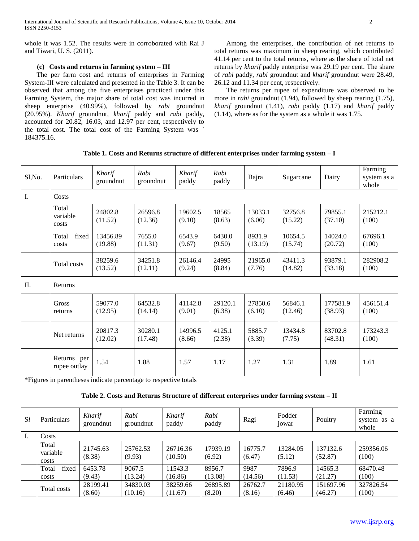whole it was 1.52. The results were in corroborated with Rai J and Tiwari, U. S. (2011).

## **(c) Costs and returns in farming system – III**

 The per farm cost and returns of enterprises in Farming System-III were calculated and presented in the Table 3. It can be observed that among the five enterprises practiced under this Farming System, the major share of total cost was incurred in sheep enterprise (40.99%), followed by *rabi* groundnut (20.95%). *Kharif* groundnut*, kharif* paddy and *rabi* paddy, accounted for 20.82, 16.03, and 12.97 per cent, respectively to the total cost. The total cost of the Farming System was ` 184375.16.

 Among the enterprises, the contribution of net returns to total returns was maximum in sheep rearing, which contributed 41.14 per cent to the total returns, where as the share of total net returns by *kharif* paddy enterprise was 29.19 per cent. The share of *rabi* paddy, *rabi* groundnut and *kharif* groundnut were 28.49, 26.12 and 11.34 per cent, respectively.

 The returns per rupee of expenditure was observed to be more in *rabi* groundnut (1.94), followed by sheep rearing (1.75), *kharif* groundnut (1.41), *rabi* paddy (1.17) and *kharif* paddy (1.14), where as for the system as a whole it was 1.75.

| Table 1. Costs and Returns structure of different enterprises under farming system - I |  |  |  |  |  |  |  |  |  |  |
|----------------------------------------------------------------------------------------|--|--|--|--|--|--|--|--|--|--|
|----------------------------------------------------------------------------------------|--|--|--|--|--|--|--|--|--|--|

| Sl, No. | Particulars                 | Kharif<br>groundnut | Rabi<br>groundnut  | Kharif<br>paddy   | Rabi<br>paddy     | Bajra             | Sugarcane          | Dairy               | Farming<br>system as a<br>whole |  |  |
|---------|-----------------------------|---------------------|--------------------|-------------------|-------------------|-------------------|--------------------|---------------------|---------------------------------|--|--|
| I.      | Costs                       |                     |                    |                   |                   |                   |                    |                     |                                 |  |  |
|         | Total<br>variable<br>costs  | 24802.8<br>(11.52)  | 26596.8<br>(12.36) | 19602.5<br>(9.10) | 18565<br>(8.63)   | 13033.1<br>(6.06) | 32756.8<br>(15.22) | 79855.1<br>(37.10)  | 215212.1<br>(100)               |  |  |
|         | fixed<br>Total<br>costs     | 13456.89<br>(19.88) | 7655.0<br>(11.31)  | 6543.9<br>(9.67)  | 6430.0<br>(9.50)  | 8931.9<br>(13.19) | 10654.5<br>(15.74) | 14024.0<br>(20.72)  | 67696.1<br>(100)                |  |  |
|         | Total costs                 | 38259.6<br>(13.52)  | 34251.8<br>(12.11) | 26146.4<br>(9.24) | 24995<br>(8.84)   | 21965.0<br>(7.76) | 43411.3<br>(14.82) | 93879.1<br>(33.18)  | 282908.2<br>(100)               |  |  |
| II.     | Returns                     |                     |                    |                   |                   |                   |                    |                     |                                 |  |  |
|         | Gross<br>returns            | 59077.0<br>(12.95)  | 64532.8<br>(14.14) | 41142.8<br>(9.01) | 29120.1<br>(6.38) | 27850.6<br>(6.10) | 56846.1<br>(12.46) | 177581.9<br>(38.93) | 456151.4<br>(100)               |  |  |
|         | Net returns                 | 20817.3<br>(12.02)  | 30280.1<br>(17.48) | 14996.5<br>(8.66) | 4125.1<br>(2.38)  | 5885.7<br>(3.39)  | 13434.8<br>(7.75)  | 83702.8<br>(48.31)  | 173243.3<br>(100)               |  |  |
|         | Returns per<br>rupee outlay | 1.54                | 1.88               | 1.57              | 1.17              | 1.27              | 1.31               | 1.89                | 1.61                            |  |  |

\*Figures in parentheses indicate percentage to respective totals

**Table 2. Costs and Returns Structure of different enterprises under farming system – II**

| <i>Sl</i> | <b>Particulars</b>         | Kharif<br>groundnut | Rabi<br>groundnut   | Kharif<br>paddy     | Rabi<br>paddy      | Ragi              | Fodder<br>10 war   | Poultry              | Farming<br>system as a<br>whole |
|-----------|----------------------------|---------------------|---------------------|---------------------|--------------------|-------------------|--------------------|----------------------|---------------------------------|
| Ι.        | Costs                      |                     |                     |                     |                    |                   |                    |                      |                                 |
|           | Total<br>variable<br>costs | 21745.63<br>(8.38)  | 25762.53<br>(9.93)  | 26716.36<br>(10.50) | 17939.19<br>(6.92) | 16775.7<br>(6.47) | 13284.05<br>(5.12) | 137132.6<br>(52.87)  | 259356.06<br>(100)              |
|           | fixed<br>Total<br>costs    | 6453.78<br>(9.43)   | 9067.5<br>(13.24)   | 11543.3<br>(16.86)  | 8956.7<br>(13.08)  | 9987<br>(14.56)   | 7896.9<br>(11.53)  | 14565.3<br>(21.27)   | 68470.48<br>(100)               |
|           | Total costs                | 28199.41<br>(8.60)  | 34830.03<br>(10.16) | 38259.66<br>(11.67) | 26895.89<br>(8.20) | 26762.7<br>(8.16) | 21180.95<br>(6.46) | 151697.96<br>(46.27) | 327826.54<br>(100)              |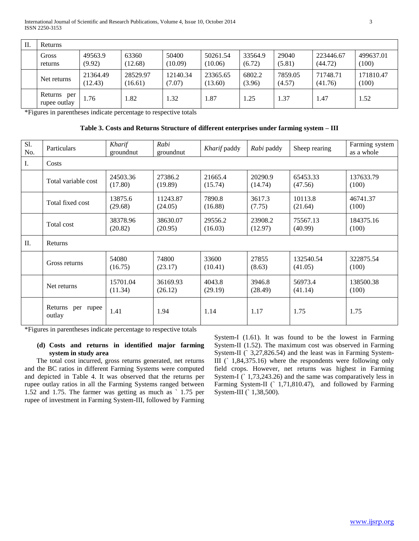| II. | Returns                        |                     |                     |                    |                     |                   |                   |                      |                    |  |
|-----|--------------------------------|---------------------|---------------------|--------------------|---------------------|-------------------|-------------------|----------------------|--------------------|--|
|     | Gross<br>returns               | 49563.9<br>(9.92)   | 63360<br>(12.68)    | 50400<br>(10.09)   | 50261.54<br>(10.06) | 33564.9<br>(6.72) | 29040<br>(5.81)   | 223446.67<br>(44.72) | 499637.01<br>(100) |  |
|     | Net returns                    | 21364.49<br>(12.43) | 28529.97<br>(16.61) | 12140.34<br>(7.07) | 23365.65<br>(13.60) | 6802.2<br>(3.96)  | 7859.05<br>(4.57) | 71748.71<br>(41.76)  | 171810.47<br>(100) |  |
|     | Returns<br>per<br>rupee outlay | 1.76                | .82                 | 1.32               | 1.87                | .25               | 1.37              | 1.47                 | 1.52               |  |

\*Figures in parentheses indicate percentage to respective totals

**Table 3. Costs and Returns Structure of different enterprises under farming system – III**

| Sl.<br>No. | Particulars                 | Kharif<br>groundnut | Rabi<br>groundnut   | Kharif paddy       | Rabi paddy         | Sheep rearing        | Farming system<br>as a whole |  |  |
|------------|-----------------------------|---------------------|---------------------|--------------------|--------------------|----------------------|------------------------------|--|--|
| I.         | Costs                       |                     |                     |                    |                    |                      |                              |  |  |
|            | Total variable cost         | 24503.36<br>(17.80) | 27386.2<br>(19.89)  | 21665.4<br>(15.74) | 20290.9<br>(14.74) | 65453.33<br>(47.56)  | 137633.79<br>(100)           |  |  |
|            | Total fixed cost            | 13875.6<br>(29.68)  | 11243.87<br>(24.05) | 7890.8<br>(16.88)  | 3617.3<br>(7.75)   | 10113.8<br>(21.64)   | 46741.37<br>(100)            |  |  |
|            | Total cost                  | 38378.96<br>(20.82) | 38630.07<br>(20.95) | 29556.2<br>(16.03) | 23908.2<br>(12.97) | 75567.13<br>(40.99)  | 184375.16<br>(100)           |  |  |
| П.         | Returns                     |                     |                     |                    |                    |                      |                              |  |  |
|            | Gross returns               | 54080<br>(16.75)    | 74800<br>(23.17)    | 33600<br>(10.41)   | 27855<br>(8.63)    | 132540.54<br>(41.05) | 322875.54<br>(100)           |  |  |
|            | Net returns                 | 15701.04<br>(11.34) | 36169.93<br>(26.12) | 4043.8<br>(29.19)  | 3946.8<br>(28.49)  | 56973.4<br>(41.14)   | 138500.38<br>(100)           |  |  |
|            | Returns per rupee<br>outlay | 1.41                | 1.94                | 1.14               | 1.17               | 1.75                 | 1.75                         |  |  |

\*Figures in parentheses indicate percentage to respective totals

## **(d) Costs and returns in identified major farming system in study area**

 The total cost incurred, gross returns generated, net returns and the BC ratios in different Farming Systems were computed and depicted in Table 4. It was observed that the returns per rupee outlay ratios in all the Farming Systems ranged between 1.52 and 1.75. The farmer was getting as much as ` 1.75 per rupee of investment in Farming System-III, followed by Farming System-I (1.61). It was found to be the lowest in Farming System-II (1.52). The maximum cost was observed in Farming System-II (` 3,27,826.54) and the least was in Farming System-III (` 1,84,375.16) where the respondents were following only field crops. However, net returns was highest in Farming System-I ( $\hat{1},73,243.26$ ) and the same was comparatively less in Farming System-II (` 1,71,810.47), and followed by Farming System-III (` 1,38,500).